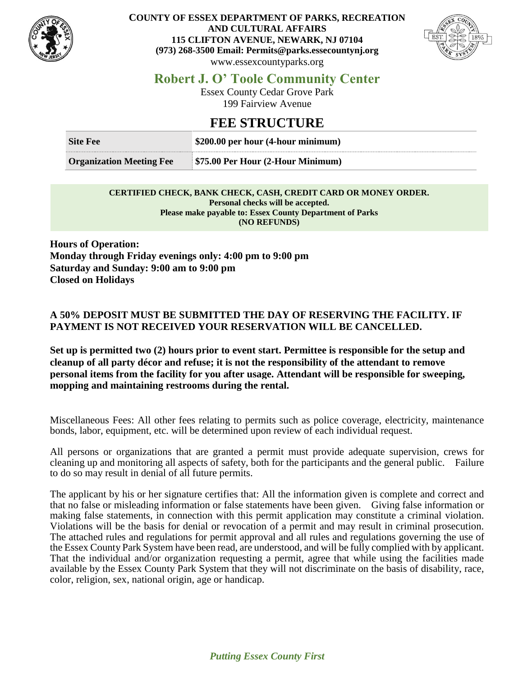

#### **COUNTY OF ESSEX DEPARTMENT OF PARKS, RECREATION AND CULTURAL AFFAIRS 115 CLIFTON AVENUE, NEWARK, NJ 07104 (973) 268-3500 Email: Permits@parks.essecountynj.org** www.essexcountyparks.org



## **Robert J. O' Toole Community Center**

Essex County Cedar Grove Park 199 Fairview Avenue

## **FEE STRUCTURE**

| <b>Site Fee</b>                 | \$200.00 per hour (4-hour minimum) |
|---------------------------------|------------------------------------|
| <b>Organization Meeting Fee</b> | \$75.00 Per Hour (2-Hour Minimum)  |

#### **CERTIFIED CHECK, BANK CHECK, CASH, CREDIT CARD OR MONEY ORDER. Personal checks will be accepted. Please make payable to: Essex County Department of Parks (NO REFUNDS)**

**Hours of Operation: Monday through Friday evenings only: 4:00 pm to 9:00 pm Saturday and Sunday: 9:00 am to 9:00 pm Closed on Holidays**

### **A 50% DEPOSIT MUST BE SUBMITTED THE DAY OF RESERVING THE FACILITY. IF PAYMENT IS NOT RECEIVED YOUR RESERVATION WILL BE CANCELLED.**

**Set up is permitted two (2) hours prior to event start. Permittee is responsible for the setup and cleanup of all party décor and refuse; it is not the responsibility of the attendant to remove personal items from the facility for you after usage. Attendant will be responsible for sweeping, mopping and maintaining restrooms during the rental.**

Miscellaneous Fees: All other fees relating to permits such as police coverage, electricity, maintenance bonds, labor, equipment, etc. will be determined upon review of each individual request.

All persons or organizations that are granted a permit must provide adequate supervision, crews for cleaning up and monitoring all aspects of safety, both for the participants and the general public. Failure to do so may result in denial of all future permits.

The applicant by his or her signature certifies that: All the information given is complete and correct and that no false or misleading information or false statements have been given. Giving false information or making false statements, in connection with this permit application may constitute a criminal violation. Violations will be the basis for denial or revocation of a permit and may result in criminal prosecution. The attached rules and regulations for permit approval and all rules and regulations governing the use of the Essex County Park System have been read, are understood, and will be fully complied with by applicant. That the individual and/or organization requesting a permit, agree that while using the facilities made available by the Essex County Park System that they will not discriminate on the basis of disability, race, color, religion, sex, national origin, age or handicap.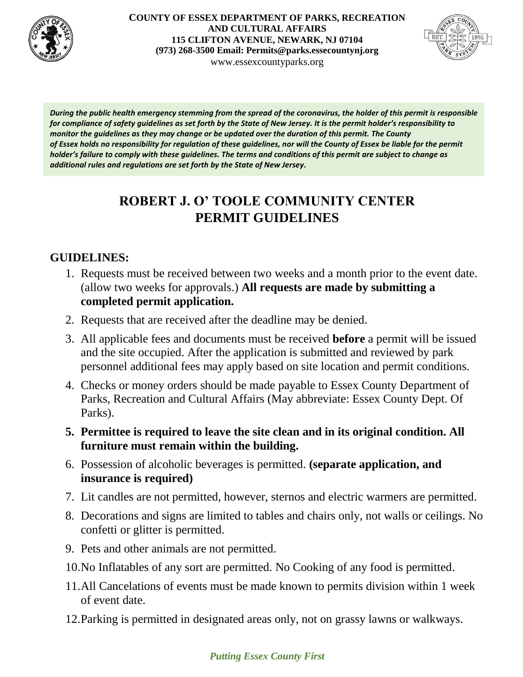

**COUNTY OF ESSEX DEPARTMENT OF PARKS, RECREATION AND CULTURAL AFFAIRS 115 CLIFTON AVENUE, NEWARK, NJ 07104 (973) 268-3500 Email: Permits@parks.essecountynj.org** www.essexcountyparks.org



*During the public health emergency stemming from the spread of the coronavirus, the holder of this permit is responsible for compliance of safety guidelines as set forth by the State of New Jersey. It is the permit holder's responsibility to monitor the guidelines as they may change or be updated over the duration of this permit. The County of Essex holds no responsibility for regulation of these guidelines, nor will the County of Essex be liable for the permit holder's failure to comply with these guidelines. The terms and conditions of this permit are subject to change as additional rules and regulations are set forth by the State of New Jersey.*

# **ROBERT J. O' TOOLE COMMUNITY CENTER PERMIT GUIDELINES**

## **GUIDELINES:**

- 1. Requests must be received between two weeks and a month prior to the event date. (allow two weeks for approvals.) **All requests are made by submitting a completed permit application.**
- 2. Requests that are received after the deadline may be denied.
- 3. All applicable fees and documents must be received **before** a permit will be issued and the site occupied. After the application is submitted and reviewed by park personnel additional fees may apply based on site location and permit conditions.
- 4. Checks or money orders should be made payable to Essex County Department of Parks, Recreation and Cultural Affairs (May abbreviate: Essex County Dept. Of Parks).
- **5. Permittee is required to leave the site clean and in its original condition. All furniture must remain within the building.**
- 6. Possession of alcoholic beverages is permitted. **(separate application, and insurance is required)**
- 7. Lit candles are not permitted, however, sternos and electric warmers are permitted.
- 8. Decorations and signs are limited to tables and chairs only, not walls or ceilings. No confetti or glitter is permitted.
- 9. Pets and other animals are not permitted.
- 10.No Inflatables of any sort are permitted. No Cooking of any food is permitted.
- 11.All Cancelations of events must be made known to permits division within 1 week of event date.
- 12.Parking is permitted in designated areas only, not on grassy lawns or walkways.

## *Putting Essex County First*